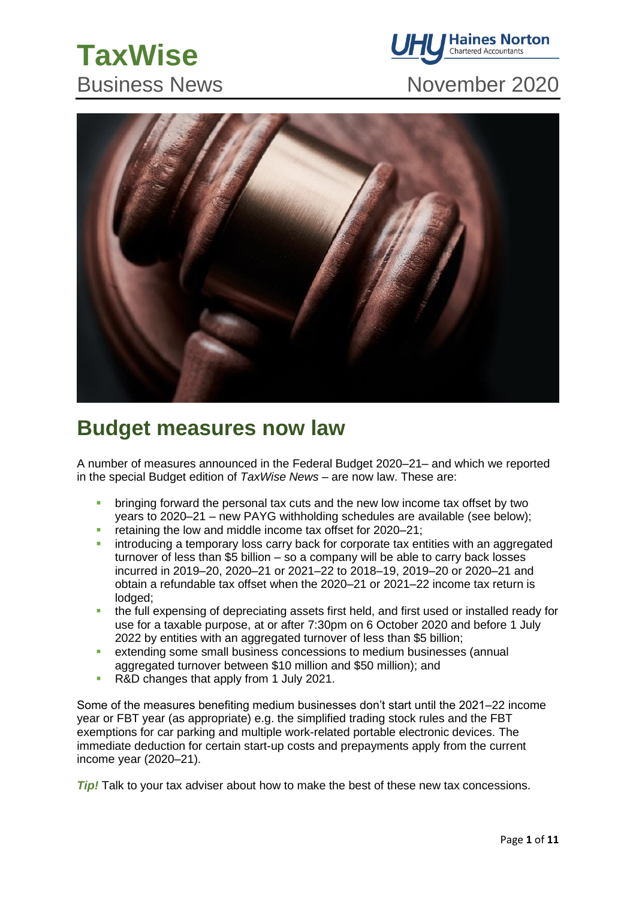# **TaxWise**



# Business News November 2020



# **Budget measures now law**

A number of measures announced in the Federal Budget 2020–21– and which we reported in the special Budget edition of *TaxWise News* – are now law. These are:

- bringing forward the personal tax cuts and the new low income tax offset by two years to 2020–21 – new PAYG withholding schedules are available (see below);
- **•** retaining the low and middle income tax offset for 2020–21;
- introducing a temporary loss carry back for corporate tax entities with an aggregated turnover of less than \$5 billion – so a company will be able to carry back losses incurred in 2019–20, 2020–21 or 2021–22 to 2018–19, 2019–20 or 2020–21 and obtain a refundable tax offset when the 2020–21 or 2021–22 income tax return is lodged;
- the full expensing of depreciating assets first held, and first used or installed ready for use for a taxable purpose, at or after 7:30pm on 6 October 2020 and before 1 July 2022 by entities with an aggregated turnover of less than \$5 billion;
- extending some small business concessions to medium businesses (annual aggregated turnover between \$10 million and \$50 million); and
- R&D changes that apply from 1 July 2021.

Some of the measures benefiting medium businesses don't start until the 2021–22 income year or FBT year (as appropriate) e.g. the simplified trading stock rules and the FBT exemptions for car parking and multiple work-related portable electronic devices. The immediate deduction for certain start-up costs and prepayments apply from the current income year (2020–21).

*Tip!* Talk to your tax adviser about how to make the best of these new tax concessions.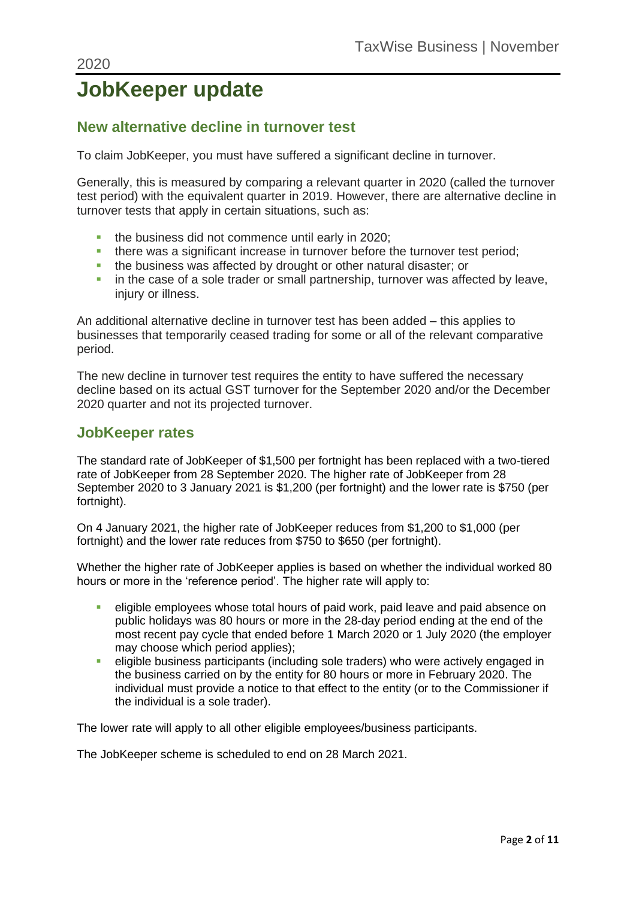# **JobKeeper update**

### **New alternative decline in turnover test**

To claim JobKeeper, you must have suffered a significant decline in turnover.

Generally, this is measured by comparing a relevant quarter in 2020 (called the turnover test period) with the equivalent quarter in 2019. However, there are alternative decline in turnover tests that apply in certain situations, such as:

- the business did not commence until early in 2020;
- there was a significant increase in turnover before the turnover test period;
- **.** the business was affected by drought or other natural disaster; or
- in the case of a sole trader or small partnership, turnover was affected by leave, injury or illness.

An additional alternative decline in turnover test has been added – this applies to businesses that temporarily ceased trading for some or all of the relevant comparative period.

The new decline in turnover test requires the entity to have suffered the necessary decline based on its actual GST turnover for the September 2020 and/or the December 2020 quarter and not its projected turnover.

#### **JobKeeper rates**

The standard rate of JobKeeper of \$1,500 per fortnight has been replaced with a two-tiered rate of JobKeeper from 28 September 2020. The higher rate of JobKeeper from 28 September 2020 to 3 January 2021 is \$1,200 (per fortnight) and the lower rate is \$750 (per fortnight).

On 4 January 2021, the higher rate of JobKeeper reduces from \$1,200 to \$1,000 (per fortnight) and the lower rate reduces from \$750 to \$650 (per fortnight).

Whether the higher rate of JobKeeper applies is based on whether the individual worked 80 hours or more in the 'reference period'. The higher rate will apply to:

- **E** eligible employees whose total hours of paid work, paid leave and paid absence on public holidays was 80 hours or more in the 28-day period ending at the end of the most recent pay cycle that ended before 1 March 2020 or 1 July 2020 (the employer may choose which period applies);
- **EXECTED EXECTED EXECTED** eligible business participants (including sole traders) who were actively engaged in the business carried on by the entity for 80 hours or more in February 2020. The individual must provide a notice to that effect to the entity (or to the Commissioner if the individual is a sole trader).

The lower rate will apply to all other eligible employees/business participants.

The JobKeeper scheme is scheduled to end on 28 March 2021.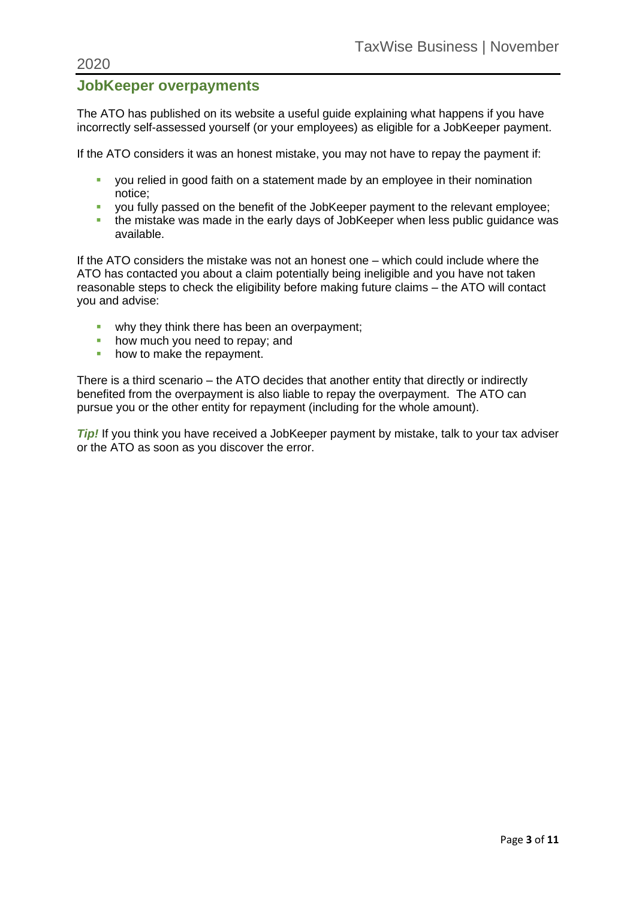#### **JobKeeper overpayments**

The ATO has published on its website a useful guide explaining what happens if you have incorrectly self-assessed yourself (or your employees) as eligible for a JobKeeper payment.

If the ATO considers it was an honest mistake, you may not have to repay the payment if:

- **•** you relied in good faith on a statement made by an employee in their nomination notice;
- you fully passed on the benefit of the JobKeeper payment to the relevant employee;
- **.** the mistake was made in the early days of JobKeeper when less public guidance was available.

If the ATO considers the mistake was not an honest one – which could include where the ATO has contacted you about a claim potentially being ineligible and you have not taken reasonable steps to check the eligibility before making future claims – the ATO will contact you and advise:

- **why they think there has been an overpayment;**
- how much you need to repay; and
- how to make the repayment.

There is a third scenario – the ATO decides that another entity that directly or indirectly benefited from the overpayment is also liable to repay the overpayment. The ATO can pursue you or the other entity for repayment (including for the whole amount).

*Tip!* If you think you have received a JobKeeper payment by mistake, talk to your tax adviser or the ATO as soon as you discover the error.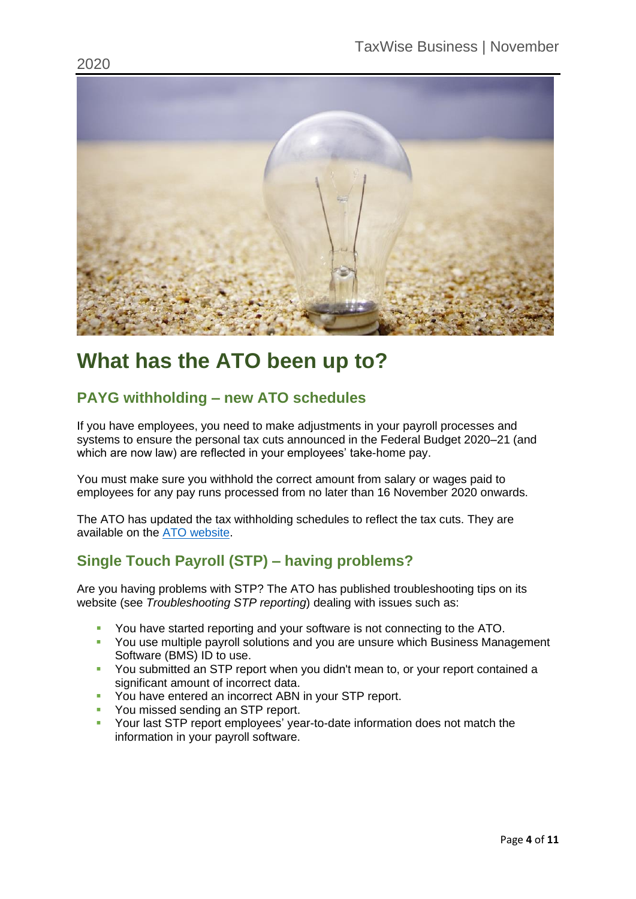

# **What has the ATO been up to?**

### **PAYG withholding – new ATO schedules**

If you have employees, you need to make adjustments in your payroll processes and systems to ensure the personal tax cuts announced in the Federal Budget 2020–21 (and which are now law) are reflected in your employees' take-home pay.

You must make sure you withhold the correct amount from salary or wages paid to employees for any pay runs processed from no later than 16 November 2020 onwards.

The ATO has updated the tax withholding schedules to reflect the tax cuts. They are available on the [ATO website.](https://www.ato.gov.au/Rates/Tax-tables/)

### **Single Touch Payroll (STP) – having problems?**

Are you having problems with STP? The ATO has published troubleshooting tips on its website (see *Troubleshooting STP reporting*) dealing with issues such as:

- You have started reporting and your software is not connecting to the ATO.
- **You use multiple payroll solutions and you are unsure which Business Management** Software (BMS) ID to use.
- **You submitted an STP report when you didn't mean to, or your report contained a** significant amount of incorrect data.
- You have entered an incorrect ABN in your STP report.
- You missed sending an STP report.
- Your last STP report employees' year-to-date information does not match the information in your payroll software.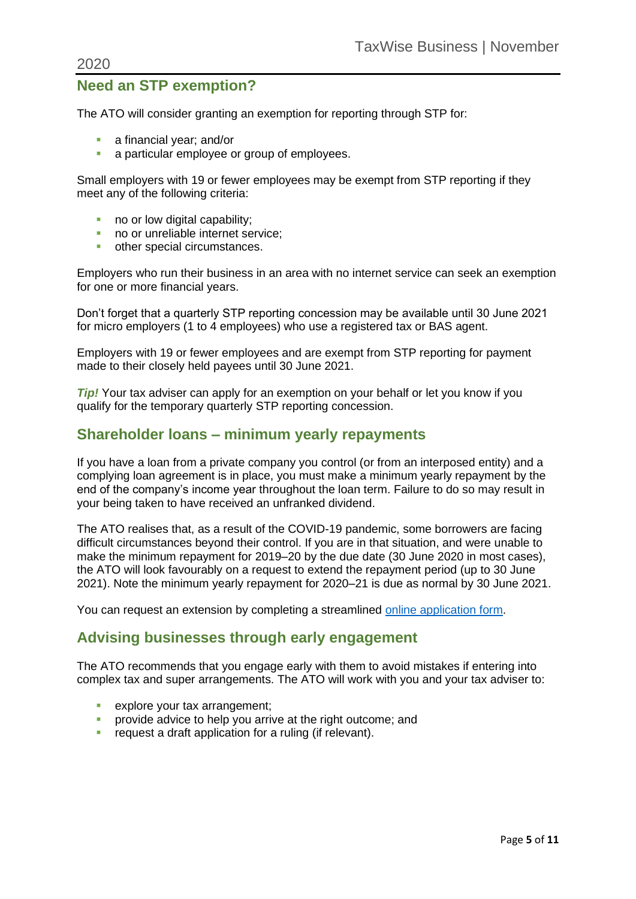### **Need an STP exemption?**

The ATO will consider granting an exemption for reporting through STP for:

- a financial year: and/or
- a particular employee or group of employees.

Small employers with 19 or fewer employees may be exempt from STP reporting if they meet any of the following criteria:

- no or low digital capability;
- no or unreliable internet service:
- other special circumstances.

Employers who run their business in an area with no internet service can seek an exemption for one or more financial years.

Don't forget that a quarterly STP reporting concession may be available until 30 June 2021 for micro employers (1 to 4 employees) who use a registered tax or BAS agent.

Employers with 19 or fewer employees and are exempt from STP reporting for payment made to their closely held payees until 30 June 2021.

*Tip!* Your tax adviser can apply for an exemption on your behalf or let you know if you qualify for the temporary quarterly STP reporting concession.

#### **Shareholder loans – minimum yearly repayments**

If you have a loan from a private company you control (or from an interposed entity) and a complying loan agreement is in place, you must make a minimum yearly repayment by the end of the company's income year throughout the loan term. Failure to do so may result in your being taken to have received an unfranked dividend.

The ATO realises that, as a result of the COVID-19 pandemic, some borrowers are facing difficult circumstances beyond their control. If you are in that situation, and were unable to make the minimum repayment for 2019–20 by the due date (30 June 2020 in most cases), the ATO will look favourably on a request to extend the repayment period (up to 30 June 2021). Note the minimum yearly repayment for 2020–21 is due as normal by 30 June 2021.

You can request an extension by completing a streamlined [online application form.](https://www.ato.gov.au/Forms/Request-to-extend-time-to-make-minimum-yearly-repayments-for-COVID-19-affected-borrowers-under-section-109RD/)

### **Advising businesses through early engagement**

The ATO recommends that you engage early with them to avoid mistakes if entering into complex tax and super arrangements. The ATO will work with you and your tax adviser to:

- **•** explore your tax arrangement;
- **•** provide advice to help you arrive at the right outcome; and
- **•** request a draft application for a ruling (if relevant).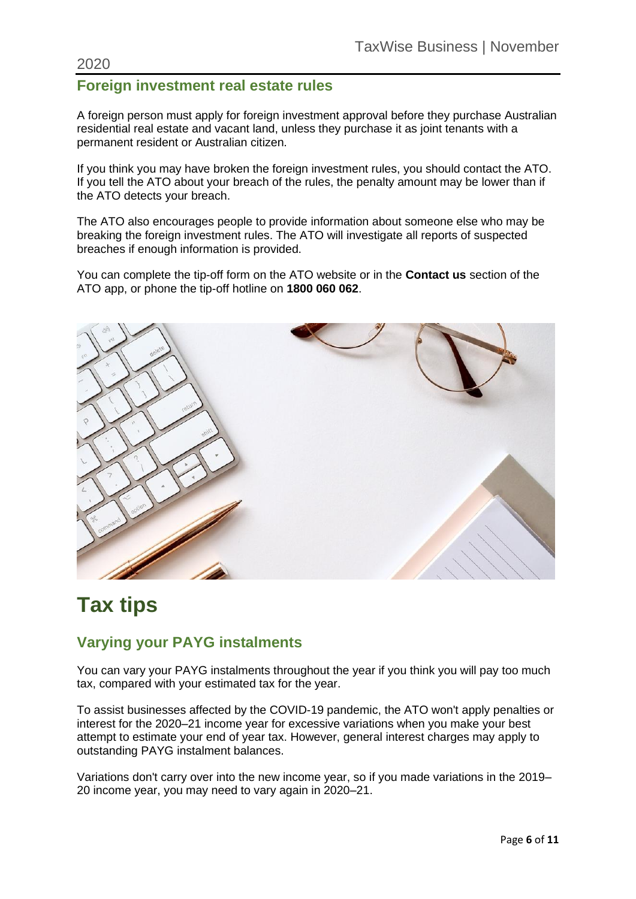#### 2020

### **Foreign investment real estate rules**

A foreign person must apply for foreign investment approval before they purchase Australian residential real estate and vacant land, unless they purchase it as joint tenants with a permanent resident or Australian citizen.

If you think you may have broken the foreign investment rules, you should contact the ATO. If you tell the ATO about your breach of the rules, the penalty amount may be lower than if the ATO detects your breach.

The ATO also encourages people to provide information about someone else who may be breaking the foreign investment rules. The ATO will investigate all reports of suspected breaches if enough information is provided.

You can complete the tip-off form on the ATO website or in the **Contact us** section of the ATO app, or phone the tip-off hotline on **1800 060 062**.



# **Tax tips**

### **Varying your PAYG instalments**

You can vary your PAYG instalments throughout the year if you think you will pay too much tax, compared with your estimated tax for the year.

To assist businesses affected by the COVID-19 pandemic, the ATO won't apply penalties or interest for the 2020–21 income year for excessive variations when you make your best attempt to estimate your end of year tax. However, general interest charges may apply to outstanding PAYG instalment balances.

Variations don't carry over into the new income year, so if you made variations in the 2019– 20 income year, you may need to vary again in 2020–21.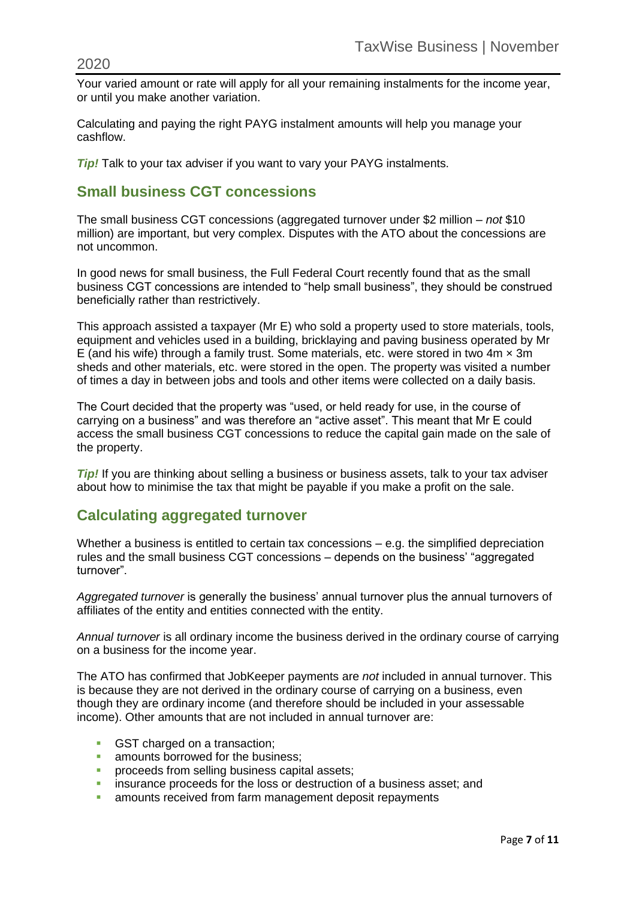Your varied amount or rate will apply for all your remaining instalments for the income year, or until you make another variation.

Calculating and paying the right PAYG instalment amounts will help you manage your cashflow.

*Tip!* Talk to your tax adviser if you want to vary your PAYG instalments.

### **Small business CGT concessions**

The small business CGT concessions (aggregated turnover under \$2 million – *not* \$10 million) are important, but very complex. Disputes with the ATO about the concessions are not uncommon.

In good news for small business, the Full Federal Court recently found that as the small business CGT concessions are intended to "help small business", they should be construed beneficially rather than restrictively.

This approach assisted a taxpayer (Mr E) who sold a property used to store materials, tools, equipment and vehicles used in a building, bricklaying and paving business operated by Mr E (and his wife) through a family trust. Some materials, etc. were stored in two  $4m \times 3m$ sheds and other materials, etc. were stored in the open. The property was visited a number of times a day in between jobs and tools and other items were collected on a daily basis.

The Court decided that the property was "used, or held ready for use, in the course of carrying on a business" and was therefore an "active asset". This meant that Mr E could access the small business CGT concessions to reduce the capital gain made on the sale of the property.

*Tip!* If you are thinking about selling a business or business assets, talk to your tax adviser about how to minimise the tax that might be payable if you make a profit on the sale.

### **Calculating aggregated turnover**

Whether a business is entitled to certain tax concessions – e.g. the simplified depreciation rules and the small business CGT concessions – depends on the business' "aggregated turnover".

*Aggregated turnover* is generally the business' annual turnover plus the annual turnovers of affiliates of the entity and entities connected with the entity.

*Annual turnover* is all ordinary income the business derived in the ordinary course of carrying on a business for the income year.

The ATO has confirmed that JobKeeper payments are *not* included in annual turnover. This is because they are not derived in the ordinary course of carrying on a business, even though they are ordinary income (and therefore should be included in your assessable income). Other amounts that are not included in annual turnover are:

- GST charged on a transaction;
- **amounts borrowed for the business;**
- **•** proceeds from selling business capital assets:
- **EXECUTE:** insurance proceeds for the loss or destruction of a business asset; and
- **EXECT** amounts received from farm management deposit repayments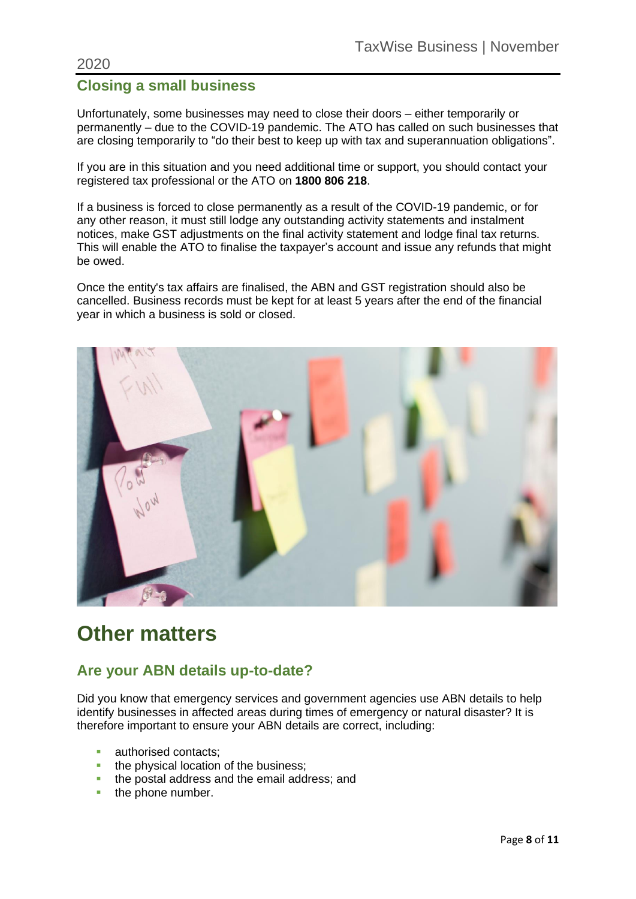#### 2020

### **Closing a small business**

Unfortunately, some businesses may need to close their doors – either temporarily or permanently – due to the COVID-19 pandemic. The ATO has called on such businesses that are closing temporarily to "do their best to keep up with tax and superannuation obligations".

If you are in this situation and you need additional time or support, you should contact your registered tax professional or the ATO on **1800 806 218**.

If a business is forced to close permanently as a result of the COVID-19 pandemic, or for any other reason, it must still lodge any outstanding activity statements and instalment notices, make GST adjustments on the final activity statement and lodge final tax returns. This will enable the ATO to finalise the taxpayer's account and issue any refunds that might be owed.

Once the entity's tax affairs are finalised, the ABN and GST registration should also be cancelled. Business records must be kept for at least 5 years after the end of the financial year in which a business is sold or closed.



## **Other matters**

### **Are your ABN details up-to-date?**

Did you know that emergency services and government agencies use ABN details to help identify businesses in affected areas during times of emergency or natural disaster? It is therefore important to ensure your ABN details are correct, including:

- authorised contacts:
- **the physical location of the business:**
- the postal address and the email address: and
- **•** the phone number.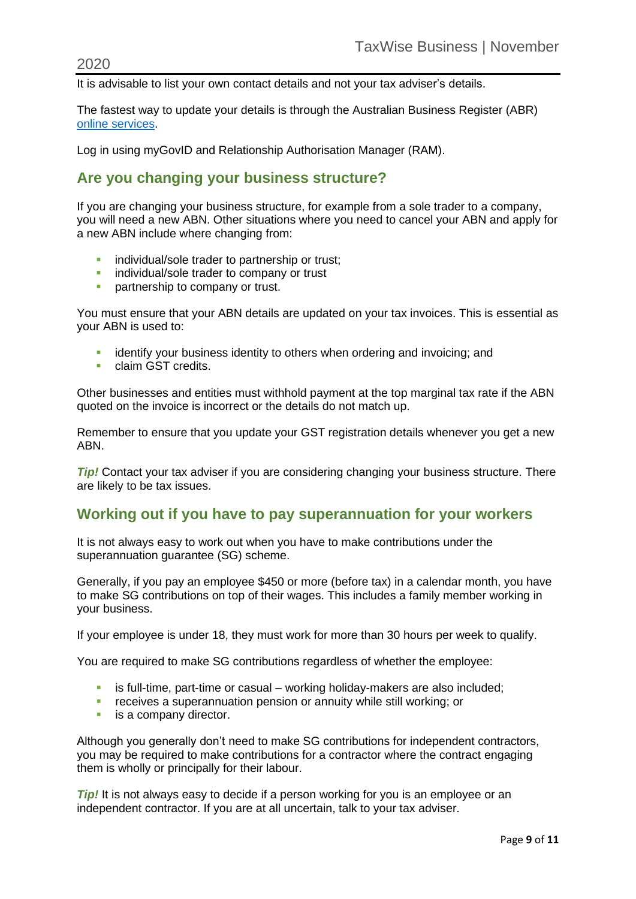It is advisable to list your own contact details and not your tax adviser's details.

The fastest way to update your details is through the Australian Business Register (ABR) [online services.](https://www.abr.gov.au/business-super-funds-charities/updating-or-cancelling-your-abn/update-your-abn-details)

Log in using myGovID and Relationship Authorisation Manager (RAM).

### **Are you changing your business structure?**

If you are changing your business structure, for example from a sole trader to a company, you will need a new ABN. Other situations where you need to cancel your ABN and apply for a new ABN include where changing from:

- **·** individual/sole trader to partnership or trust:
- **E** individual/sole trader to company or trust
- **•** partnership to company or trust.

You must ensure that your ABN details are updated on your tax invoices. This is essential as your ABN is used to:

- **EXEDENTIFY** identify your business identity to others when ordering and invoicing; and
- claim GST credits.

Other businesses and entities must withhold payment at the top marginal tax rate if the ABN quoted on the invoice is incorrect or the details do not match up.

Remember to ensure that you update your GST registration details whenever you get a new ABN.

**Tip!** Contact your tax adviser if you are considering changing your business structure. There are likely to be tax issues.

### **Working out if you have to pay superannuation for your workers**

It is not always easy to work out when you have to make contributions under the superannuation quarantee (SG) scheme.

Generally, if you pay an employee \$450 or more (before tax) in a calendar month, you have to make SG contributions on top of their wages. This includes a family member working in your business.

If your employee is under 18, they must work for more than 30 hours per week to qualify.

You are required to make SG contributions regardless of whether the employee:

- is full-time, part-time or casual working holiday-makers are also included;
- receives a superannuation pension or annuity while still working; or
- **E** is a company director.

Although you generally don't need to make SG contributions for independent contractors, you may be required to make contributions for a contractor where the contract engaging them is wholly or principally for their labour.

*Tip!* It is not always easy to decide if a person working for you is an employee or an independent contractor. If you are at all uncertain, talk to your tax adviser.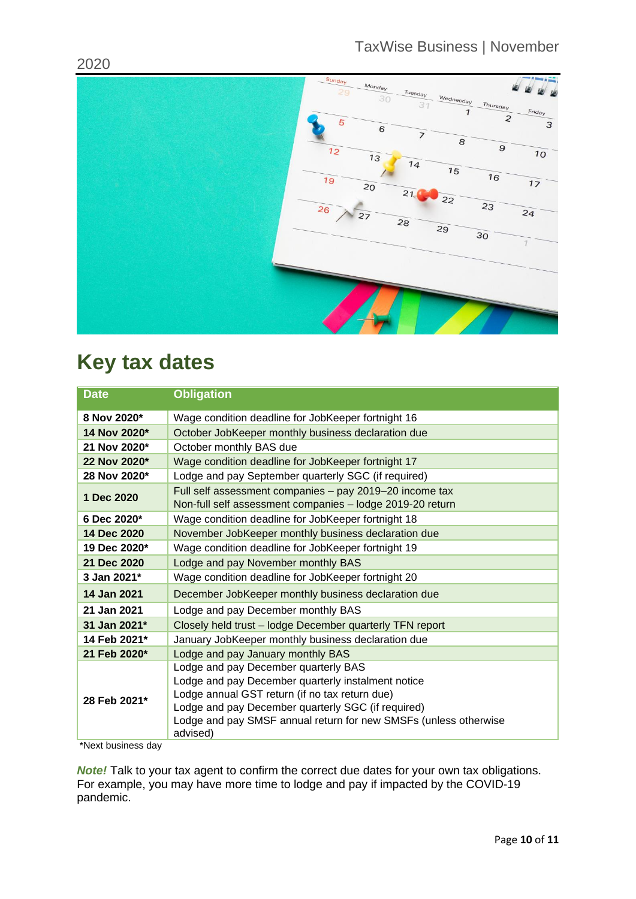

# **Key tax dates**

| <b>Date</b>  | <b>Obligation</b>                                                                                                                                                                                                                                                                  |
|--------------|------------------------------------------------------------------------------------------------------------------------------------------------------------------------------------------------------------------------------------------------------------------------------------|
| 8 Nov 2020*  | Wage condition deadline for JobKeeper fortnight 16                                                                                                                                                                                                                                 |
| 14 Nov 2020* | October JobKeeper monthly business declaration due                                                                                                                                                                                                                                 |
| 21 Nov 2020* | October monthly BAS due                                                                                                                                                                                                                                                            |
| 22 Nov 2020* | Wage condition deadline for JobKeeper fortnight 17                                                                                                                                                                                                                                 |
| 28 Nov 2020* | Lodge and pay September quarterly SGC (if required)                                                                                                                                                                                                                                |
| 1 Dec 2020   | Full self assessment companies - pay 2019-20 income tax<br>Non-full self assessment companies - lodge 2019-20 return                                                                                                                                                               |
| 6 Dec 2020*  | Wage condition deadline for JobKeeper fortnight 18                                                                                                                                                                                                                                 |
| 14 Dec 2020  | November JobKeeper monthly business declaration due                                                                                                                                                                                                                                |
| 19 Dec 2020* | Wage condition deadline for JobKeeper fortnight 19                                                                                                                                                                                                                                 |
| 21 Dec 2020  | Lodge and pay November monthly BAS                                                                                                                                                                                                                                                 |
| 3 Jan 2021*  | Wage condition deadline for JobKeeper fortnight 20                                                                                                                                                                                                                                 |
| 14 Jan 2021  | December JobKeeper monthly business declaration due                                                                                                                                                                                                                                |
| 21 Jan 2021  | Lodge and pay December monthly BAS                                                                                                                                                                                                                                                 |
| 31 Jan 2021* | Closely held trust - lodge December quarterly TFN report                                                                                                                                                                                                                           |
| 14 Feb 2021* | January JobKeeper monthly business declaration due                                                                                                                                                                                                                                 |
| 21 Feb 2020* | Lodge and pay January monthly BAS                                                                                                                                                                                                                                                  |
| 28 Feb 2021* | Lodge and pay December quarterly BAS<br>Lodge and pay December quarterly instalment notice<br>Lodge annual GST return (if no tax return due)<br>Lodge and pay December quarterly SGC (if required)<br>Lodge and pay SMSF annual return for new SMSFs (unless otherwise<br>advised) |

\*Next business day

*Note!* Talk to your tax agent to confirm the correct due dates for your own tax obligations. For example, you may have more time to lodge and pay if impacted by the COVID-19 pandemic.